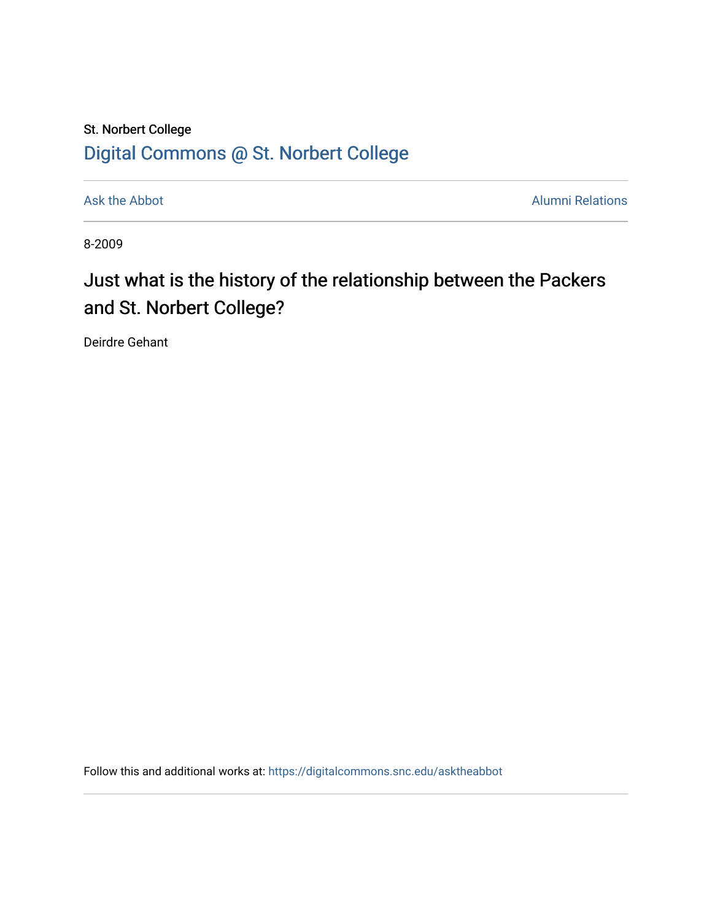## St. Norbert College [Digital Commons @ St. Norbert College](https://digitalcommons.snc.edu/)

[Ask the Abbot](https://digitalcommons.snc.edu/asktheabbot) **Alumni Relations** Alumni Relations

8-2009

## Just what is the history of the relationship between the Packers and St. Norbert College?

Deirdre Gehant

Follow this and additional works at: [https://digitalcommons.snc.edu/asktheabbot](https://digitalcommons.snc.edu/asktheabbot?utm_source=digitalcommons.snc.edu%2Fasktheabbot%2F43&utm_medium=PDF&utm_campaign=PDFCoverPages)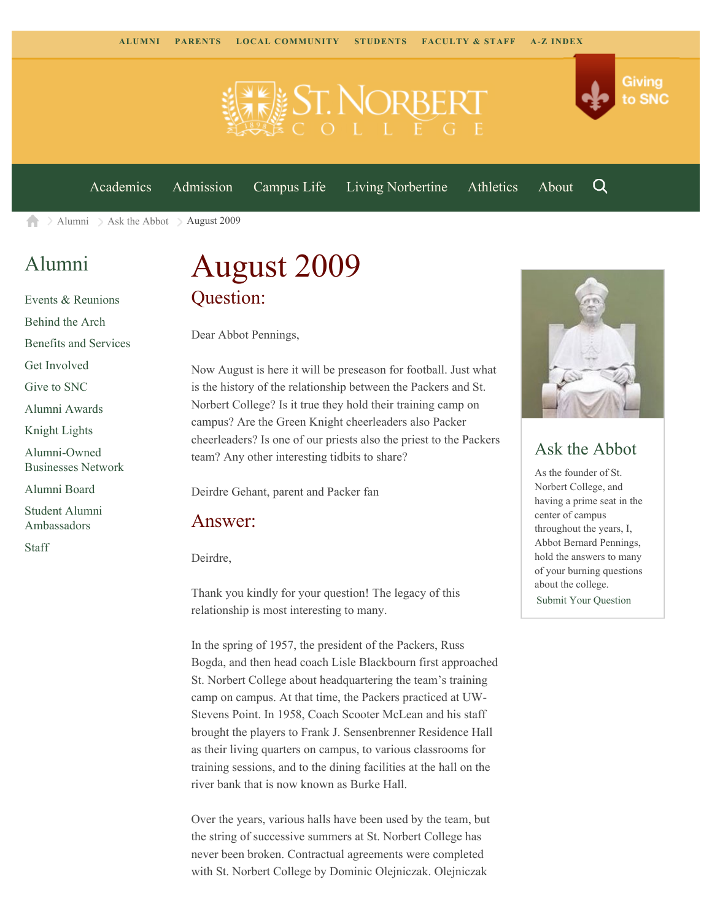

[Academics](https://www.snc.edu/academics) [Admission](https://www.snc.edu/admission) [Campus Life](https://www.snc.edu/campuslife) [Living Norbertine](https://www.snc.edu/livingnorbertine) [Athletics](https://www.snc.edu/athletics) [About](https://www.snc.edu/about)

Q

Giving

to SNC

[Alumni](https://www.snc.edu/alumni/)  $\geq$  [Ask the Abbot](https://www.snc.edu/alumni/abbot/)  $\geq$  August 2009 合

### [Alumni](https://www.snc.edu/alumni/index.html)

[Events & Reunions](https://www.snc.edu/alumni/event/index.html) [Behind the Arch](https://www.snc.edu/alumni/event/behindthearch/) [Benefits and Services](https://www.snc.edu/alumni/benefits.html) [Get Involved](https://www.snc.edu/alumni/getinvolved.html) [Give to SNC](http://giving.snc.edu/) [Alumni Awards](https://www.snc.edu/alumni/awards/index.html) [Knight Lights](https://www.snc.edu/alumni/knightlights/index.html) [Alumni-Owned](https://www.snc.edu/alumni/directory/index.html) [Businesses Network](https://www.snc.edu/alumni/directory/index.html) [Alumni Board](https://www.snc.edu/alumni/alumniboard.html) [Student Alumni](https://www.snc.edu/alumni/saa.html) [Ambassadors](https://www.snc.edu/alumni/saa.html) [Staff](https://www.snc.edu/alumni/contactus.html)

# August 2009 Question:

Dear Abbot Pennings,

Now August is here it will be preseason for football. Just what is the history of the relationship between the Packers and St. Norbert College? Is it true they hold their training camp on campus? Are the Green Knight cheerleaders also Packer cheerleaders? Is one of our priests also the priest to the Packers team? Any other interesting tidbits to share?

Deirdre Gehant, parent and Packer fan

#### Answer:

Deirdre,

Thank you kindly for your question! The legacy of this relationship is most interesting to many.

In the spring of 1957, the president of the Packers, Russ Bogda, and then head coach Lisle Blackbourn first approached St. Norbert College about headquartering the team's training camp on campus. At that time, the Packers practiced at UW-Stevens Point. In 1958, Coach Scooter McLean and his staff brought the players to Frank J. Sensenbrenner Residence Hall as their living quarters on campus, to various classrooms for training sessions, and to the dining facilities at the hall on the river bank that is now known as Burke Hall.

Over the years, various halls have been used by the team, but the string of successive summers at St. Norbert College has never been broken. Contractual agreements were completed with St. Norbert College by Dominic Olejniczak. Olejniczak



#### Ask the Abbot

As the founder of St. Norbert College, and having a prime seat in the center of campus throughout the years, I, Abbot Bernard Pennings, hold the answers to many of your burning questions about the college. [Submit Your Question](https://www.snc.edu/alumni/abbot/index.html)